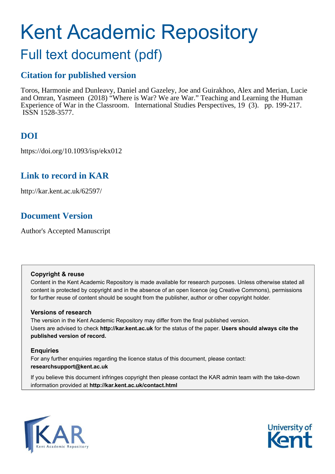# Kent Academic Repository

## Full text document (pdf)

## **Citation for published version**

Toros, Harmonie and Dunleavy, Daniel and Gazeley, Joe and Guirakhoo, Alex and Merian, Lucie and Omran, Yasmeen (2018) "Where is War? We are War." Teaching and Learning the Human Experience of War in the Classroom. International Studies Perspectives, 19 (3). pp. 199-217. ISSN 1528-3577.

## **DOI**

https://doi.org/10.1093/isp/ekx012

## **Link to record in KAR**

http://kar.kent.ac.uk/62597/

## **Document Version**

Author's Accepted Manuscript

#### **Copyright & reuse**

Content in the Kent Academic Repository is made available for research purposes. Unless otherwise stated all content is protected by copyright and in the absence of an open licence (eg Creative Commons), permissions for further reuse of content should be sought from the publisher, author or other copyright holder.

#### **Versions of research**

The version in the Kent Academic Repository may differ from the final published version. Users are advised to check **http://kar.kent.ac.uk** for the status of the paper. **Users should always cite the published version of record.**

#### **Enquiries**

For any further enquiries regarding the licence status of this document, please contact: **researchsupport@kent.ac.uk**

If you believe this document infringes copyright then please contact the KAR admin team with the take-down information provided at **http://kar.kent.ac.uk/contact.html**



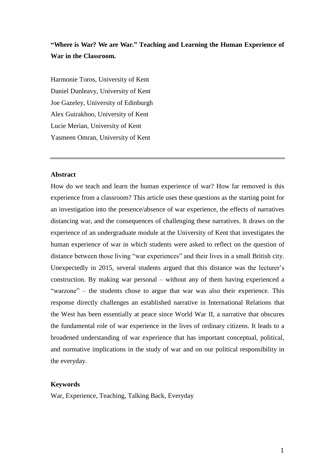### **"Where is War? We are War." Teaching and Learning the Human Experience of War in the Classroom.**

Harmonie Toros, University of Kent Daniel Dunleavy, University of Kent Joe Gazeley, University of Edinburgh Alex Guirakhoo, University of Kent Lucie Merian, University of Kent Yasmeen Omran, University of Kent

#### **Abstract**

How do we teach and learn the human experience of war? How far removed is this experience from a classroom? This article uses these questions as the starting point for an investigation into the presence/absence of war experience, the effects of narratives distancing war, and the consequences of challenging these narratives. It draws on the experience of an undergraduate module at the University of Kent that investigates the human experience of war in which students were asked to reflect on the question of distance between those living "war experiences" and their lives in a small British city. Unexpectedly in 2015, several students argued that this distance was the lecturer's construction. By making war personal – without any of them having experienced a "warzone" – the students chose to argue that war was also their experience. This response directly challenges an established narrative in International Relations that the West has been essentially at peace since World War II, a narrative that obscures the fundamental role of war experience in the lives of ordinary citizens. It leads to a broadened understanding of war experience that has important conceptual, political, and normative implications in the study of war and on our political responsibility in the everyday.

#### **Keywords**

War, Experience, Teaching, Talking Back, Everyday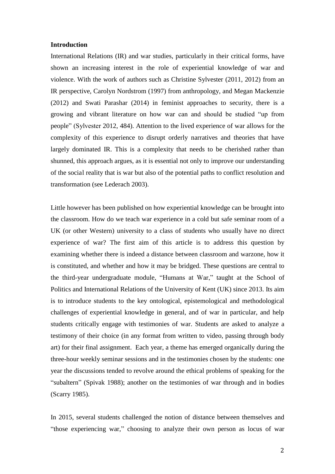#### **Introduction**

International Relations (IR) and war studies, particularly in their critical forms, have shown an increasing interest in the role of experiential knowledge of war and violence. With the work of authors such as Christine Sylvester (2011, 2012) from an IR perspective, Carolyn Nordstrom (1997) from anthropology, and Megan Mackenzie (2012) and Swati Parashar (2014) in feminist approaches to security, there is a growing and vibrant literature on how war can and should be studied "up from people" (Sylvester 2012, 484). Attention to the lived experience of war allows for the complexity of this experience to disrupt orderly narratives and theories that have largely dominated IR. This is a complexity that needs to be cherished rather than shunned, this approach argues, as it is essential not only to improve our understanding of the social reality that is war but also of the potential paths to conflict resolution and transformation (see Lederach 2003).

Little however has been published on how experiential knowledge can be brought into the classroom. How do we teach war experience in a cold but safe seminar room of a UK (or other Western) university to a class of students who usually have no direct experience of war? The first aim of this article is to address this question by examining whether there is indeed a distance between classroom and warzone, how it is constituted, and whether and how it may be bridged. These questions are central to the third-year undergraduate module, "Humans at War," taught at the School of Politics and International Relations of the University of Kent (UK) since 2013. Its aim is to introduce students to the key ontological, epistemological and methodological challenges of experiential knowledge in general, and of war in particular, and help students critically engage with testimonies of war. Students are asked to analyze a testimony of their choice (in any format from written to video, passing through body art) for their final assignment. Each year, a theme has emerged organically during the three-hour weekly seminar sessions and in the testimonies chosen by the students: one year the discussions tended to revolve around the ethical problems of speaking for the "subaltern" (Spivak 1988); another on the testimonies of war through and in bodies (Scarry 1985).

In 2015, several students challenged the notion of distance between themselves and "those experiencing war," choosing to analyze their own person as locus of war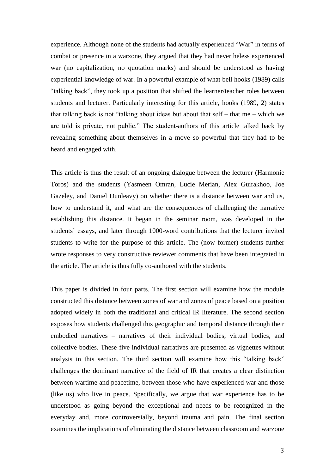experience. Although none of the students had actually experienced "War" in terms of combat or presence in a warzone, they argued that they had nevertheless experienced war (no capitalization, no quotation marks) and should be understood as having experiential knowledge of war. In a powerful example of what bell hooks (1989) calls "talking back", they took up a position that shifted the learner/teacher roles between students and lecturer. Particularly interesting for this article, hooks (1989, 2) states that talking back is not "talking about ideas but about that self – that me – which we are told is private, not public." The student-authors of this article talked back by revealing something about themselves in a move so powerful that they had to be heard and engaged with.

This article is thus the result of an ongoing dialogue between the lecturer (Harmonie Toros) and the students (Yasmeen Omran, Lucie Merian, Alex Guirakhoo, Joe Gazeley, and Daniel Dunleavy) on whether there is a distance between war and us, how to understand it, and what are the consequences of challenging the narrative establishing this distance. It began in the seminar room, was developed in the students' essays, and later through 1000-word contributions that the lecturer invited students to write for the purpose of this article. The (now former) students further wrote responses to very constructive reviewer comments that have been integrated in the article. The article is thus fully co-authored with the students.

This paper is divided in four parts. The first section will examine how the module constructed this distance between zones of war and zones of peace based on a position adopted widely in both the traditional and critical IR literature. The second section exposes how students challenged this geographic and temporal distance through their embodied narratives – narratives of their individual bodies, virtual bodies, and collective bodies. These five individual narratives are presented as vignettes without analysis in this section. The third section will examine how this "talking back" challenges the dominant narrative of the field of IR that creates a clear distinction between wartime and peacetime, between those who have experienced war and those (like us) who live in peace. Specifically, we argue that war experience has to be understood as going beyond the exceptional and needs to be recognized in the everyday and, more controversially, beyond trauma and pain. The final section examines the implications of eliminating the distance between classroom and warzone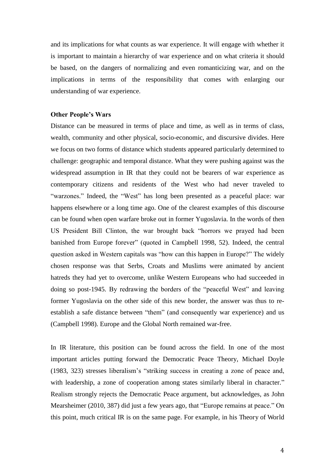and its implications for what counts as war experience. It will engage with whether it is important to maintain a hierarchy of war experience and on what criteria it should be based, on the dangers of normalizing and even romanticizing war, and on the implications in terms of the responsibility that comes with enlarging our understanding of war experience.

#### **Other People's Wars**

Distance can be measured in terms of place and time, as well as in terms of class, wealth, community and other physical, socio-economic, and discursive divides. Here we focus on two forms of distance which students appeared particularly determined to challenge: geographic and temporal distance. What they were pushing against was the widespread assumption in IR that they could not be bearers of war experience as contemporary citizens and residents of the West who had never traveled to "warzones." Indeed, the "West" has long been presented as a peaceful place: war happens elsewhere or a long time ago. One of the clearest examples of this discourse can be found when open warfare broke out in former Yugoslavia. In the words of then US President Bill Clinton, the war brought back "horrors we prayed had been banished from Europe forever" (quoted in Campbell 1998, 52). Indeed, the central question asked in Western capitals was "how can this happen in Europe?" The widely chosen response was that Serbs, Croats and Muslims were animated by ancient hatreds they had yet to overcome, unlike Western Europeans who had succeeded in doing so post-1945. By redrawing the borders of the "peaceful West" and leaving former Yugoslavia on the other side of this new border, the answer was thus to reestablish a safe distance between "them" (and consequently war experience) and us (Campbell 1998). Europe and the Global North remained war-free.

In IR literature, this position can be found across the field. In one of the most important articles putting forward the Democratic Peace Theory, Michael Doyle (1983, 323) stresses liberalism's "striking success in creating a zone of peace and, with leadership, a zone of cooperation among states similarly liberal in character." Realism strongly rejects the Democratic Peace argument, but acknowledges, as John Mearsheimer (2010, 387) did just a few years ago, that "Europe remains at peace." On this point, much critical IR is on the same page. For example, in his Theory of World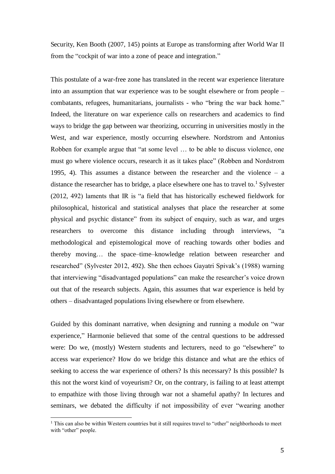Security, Ken Booth (2007, 145) points at Europe as transforming after World War II from the "cockpit of war into a zone of peace and integration."

This postulate of a war-free zone has translated in the recent war experience literature into an assumption that war experience was to be sought elsewhere or from people – combatants, refugees, humanitarians, journalists - who "bring the war back home." Indeed, the literature on war experience calls on researchers and academics to find ways to bridge the gap between war theorizing, occurring in universities mostly in the West, and war experience, mostly occurring elsewhere. Nordstrom and Antonius Robben for example argue that "at some level … to be able to discuss violence, one must go where violence occurs, research it as it takes place" (Robben and Nordstrom 1995, 4). This assumes a distance between the researcher and the violence – a distance the researcher has to bridge, a place elsewhere one has to travel to.<sup>1</sup> Sylvester (2012, 492) laments that IR is "a field that has historically eschewed fieldwork for philosophical, historical and statistical analyses that place the researcher at some physical and psychic distance" from its subject of enquiry, such as war, and urges researchers to overcome this distance including through interviews, "a methodological and epistemological move of reaching towards other bodies and thereby moving… the space–time–knowledge relation between researcher and researched" (Sylvester 2012, 492). She then echoes Gayatri Spivak's (1988) warning that interviewing "disadvantaged populations" can make the researcher's voice drown out that of the research subjects. Again, this assumes that war experience is held by others – disadvantaged populations living elsewhere or from elsewhere.

Guided by this dominant narrative, when designing and running a module on "war experience," Harmonie believed that some of the central questions to be addressed were: Do we, (mostly) Western students and lecturers, need to go "elsewhere" to access war experience? How do we bridge this distance and what are the ethics of seeking to access the war experience of others? Is this necessary? Is this possible? Is this not the worst kind of voyeurism? Or, on the contrary, is failing to at least attempt to empathize with those living through war not a shameful apathy? In lectures and seminars, we debated the difficulty if not impossibility of ever "wearing another

 $\overline{a}$ 

 $1$  This can also be within Western countries but it still requires travel to "other" neighborhoods to meet with "other" people.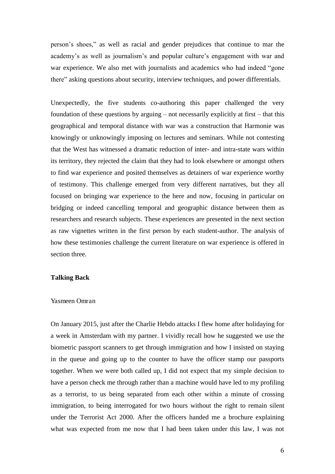person's shoes," as well as racial and gender prejudices that continue to mar the academy's as well as journalism's and popular culture's engagement with war and war experience. We also met with journalists and academics who had indeed "gone there" asking questions about security, interview techniques, and power differentials.

Unexpectedly, the five students co-authoring this paper challenged the very foundation of these questions by arguing – not necessarily explicitly at first – that this geographical and temporal distance with war was a construction that Harmonie was knowingly or unknowingly imposing on lectures and seminars. While not contesting that the West has witnessed a dramatic reduction of inter- and intra-state wars within its territory, they rejected the claim that they had to look elsewhere or amongst others to find war experience and posited themselves as detainers of war experience worthy of testimony. This challenge emerged from very different narratives, but they all focused on bringing war experience to the here and now, focusing in particular on bridging or indeed cancelling temporal and geographic distance between them as researchers and research subjects. These experiences are presented in the next section as raw vignettes written in the first person by each student-author. The analysis of how these testimonies challenge the current literature on war experience is offered in section three.

#### **Talking Back**

#### Yasmeen Omran

On January 2015, just after the Charlie Hebdo attacks I flew home after holidaying for a week in Amsterdam with my partner. I vividly recall how he suggested we use the biometric passport scanners to get through immigration and how I insisted on staying in the queue and going up to the counter to have the officer stamp our passports together. When we were both called up, I did not expect that my simple decision to have a person check me through rather than a machine would have led to my profiling as a terrorist, to us being separated from each other within a minute of crossing immigration, to being interrogated for two hours without the right to remain silent under the Terrorist Act 2000. After the officers handed me a brochure explaining what was expected from me now that I had been taken under this law, I was not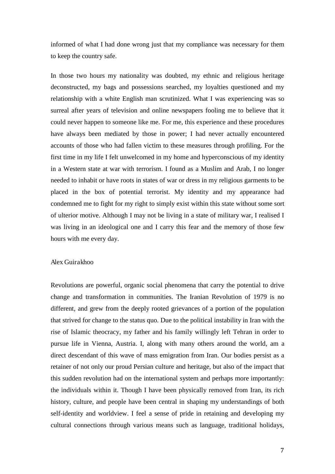informed of what I had done wrong just that my compliance was necessary for them to keep the country safe.

In those two hours my nationality was doubted, my ethnic and religious heritage deconstructed, my bags and possessions searched, my loyalties questioned and my relationship with a white English man scrutinized. What I was experiencing was so surreal after years of television and online newspapers fooling me to believe that it could never happen to someone like me. For me, this experience and these procedures have always been mediated by those in power; I had never actually encountered accounts of those who had fallen victim to these measures through profiling. For the first time in my life I felt unwelcomed in my home and hyperconscious of my identity in a Western state at war with terrorism. I found as a Muslim and Arab, I no longer needed to inhabit or have roots in states of war or dress in my religious garments to be placed in the box of potential terrorist. My identity and my appearance had condemned me to fight for my right to simply exist within this state without some sort of ulterior motive. Although I may not be living in a state of military war, I realised I was living in an ideological one and I carry this fear and the memory of those few hours with me every day.

#### Alex Guirakhoo

Revolutions are powerful, organic social phenomena that carry the potential to drive change and transformation in communities. The Iranian Revolution of 1979 is no different, and grew from the deeply rooted grievances of a portion of the population that strived for change to the status quo. Due to the political instability in Iran with the rise of Islamic theocracy, my father and his family willingly left Tehran in order to pursue life in Vienna, Austria. I, along with many others around the world, am a direct descendant of this wave of mass emigration from Iran. Our bodies persist as a retainer of not only our proud Persian culture and heritage, but also of the impact that this sudden revolution had on the international system and perhaps more importantly: the individuals within it. Though I have been physically removed from Iran, its rich history, culture, and people have been central in shaping my understandings of both self-identity and worldview. I feel a sense of pride in retaining and developing my cultural connections through various means such as language, traditional holidays,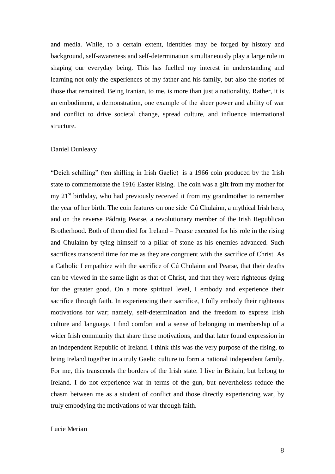and media. While, to a certain extent, identities may be forged by history and background, self-awareness and self-determination simultaneously play a large role in shaping our everyday being. This has fuelled my interest in understanding and learning not only the experiences of my father and his family, but also the stories of those that remained. Being Iranian, to me, is more than just a nationality. Rather, it is an embodiment, a demonstration, one example of the sheer power and ability of war and conflict to drive societal change, spread culture, and influence international structure.

#### Daniel Dunleavy

"Deich schilling" (ten shilling in Irish Gaelic) is a 1966 coin produced by the Irish state to commemorate the 1916 Easter Rising. The coin was a gift from my mother for my 21st birthday, who had previously received it from my grandmother to remember the year of her birth. The coin features on one side Cú Chulainn, a mythical Irish hero, and on the reverse Pádraig Pearse, a revolutionary member of the Irish Republican Brotherhood. Both of them died for Ireland – Pearse executed for his role in the rising and Chulainn by tying himself to a pillar of stone as his enemies advanced. Such sacrifices transcend time for me as they are congruent with the sacrifice of Christ. As a Catholic I empathize with the sacrifice of Cú Chulainn and Pearse, that their deaths can be viewed in the same light as that of Christ, and that they were righteous dying for the greater good. On a more spiritual level, I embody and experience their sacrifice through faith. In experiencing their sacrifice, I fully embody their righteous motivations for war; namely, self-determination and the freedom to express Irish culture and language. I find comfort and a sense of belonging in membership of a wider Irish community that share these motivations, and that later found expression in an independent Republic of Ireland. I think this was the very purpose of the rising, to bring Ireland together in a truly Gaelic culture to form a national independent family. For me, this transcends the borders of the Irish state. I live in Britain, but belong to Ireland. I do not experience war in terms of the gun, but nevertheless reduce the chasm between me as a student of conflict and those directly experiencing war, by truly embodying the motivations of war through faith.

#### Lucie Merian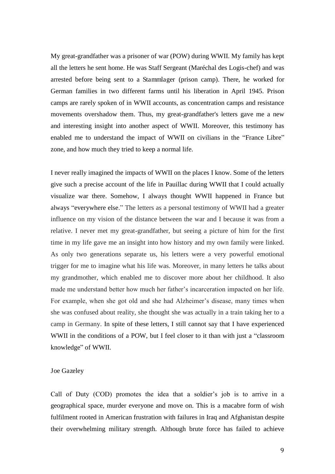My great-grandfather was a prisoner of war (POW) during WWII. My family has kept all the letters he sent home. He was Staff Sergeant (Maréchal des Logis-chef) and was arrested before being sent to a Stammlager (prison camp). There, he worked for German families in two different farms until his liberation in April 1945. Prison camps are rarely spoken of in WWII accounts, as concentration camps and resistance movements overshadow them. Thus, my great-grandfather's letters gave me a new and interesting insight into another aspect of WWII. Moreover, this testimony has enabled me to understand the impact of WWII on civilians in the "France Libre" zone, and how much they tried to keep a normal life.

I never really imagined the impacts of WWII on the places I know. Some of the letters give such a precise account of the life in Pauillac during WWII that I could actually visualize war there. Somehow, I always thought WWII happened in France but always "everywhere else." The letters as a personal testimony of WWII had a greater influence on my vision of the distance between the war and I because it was from a relative. I never met my great-grandfather, but seeing a picture of him for the first time in my life gave me an insight into how history and my own family were linked. As only two generations separate us, his letters were a very powerful emotional trigger for me to imagine what his life was. Moreover, in many letters he talks about my grandmother, which enabled me to discover more about her childhood. It also made me understand better how much her father's incarceration impacted on her life. For example, when she got old and she had Alzheimer's disease, many times when she was confused about reality, she thought she was actually in a train taking her to a camp in Germany. In spite of these letters, I still cannot say that I have experienced WWII in the conditions of a POW, but I feel closer to it than with just a "classroom knowledge" of WWII.

#### Joe Gazeley

Call of Duty (COD) promotes the idea that a soldier's job is to arrive in a geographical space, murder everyone and move on. This is a macabre form of wish fulfilment rooted in American frustration with failures in Iraq and Afghanistan despite their overwhelming military strength. Although brute force has failed to achieve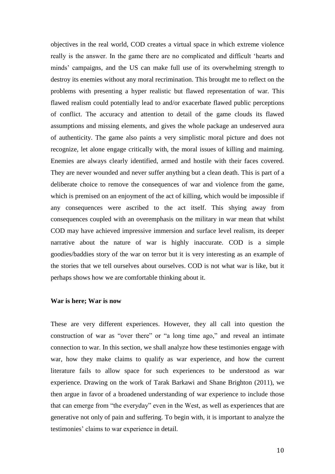objectives in the real world, COD creates a virtual space in which extreme violence really is the answer. In the game there are no complicated and difficult 'hearts and minds' campaigns, and the US can make full use of its overwhelming strength to destroy its enemies without any moral recrimination. This brought me to reflect on the problems with presenting a hyper realistic but flawed representation of war. This flawed realism could potentially lead to and/or exacerbate flawed public perceptions of conflict. The accuracy and attention to detail of the game clouds its flawed assumptions and missing elements, and gives the whole package an undeserved aura of authenticity. The game also paints a very simplistic moral picture and does not recognize, let alone engage critically with, the moral issues of killing and maiming. Enemies are always clearly identified, armed and hostile with their faces covered. They are never wounded and never suffer anything but a clean death. This is part of a deliberate choice to remove the consequences of war and violence from the game, which is premised on an enjoyment of the act of killing, which would be impossible if any consequences were ascribed to the act itself. This shying away from consequences coupled with an overemphasis on the military in war mean that whilst COD may have achieved impressive immersion and surface level realism, its deeper narrative about the nature of war is highly inaccurate. COD is a simple goodies/baddies story of the war on terror but it is very interesting as an example of the stories that we tell ourselves about ourselves. COD is not what war is like, but it perhaps shows how we are comfortable thinking about it.

#### **War is here; War is now**

These are very different experiences. However, they all call into question the construction of war as "over there" or "a long time ago," and reveal an intimate connection to war. In this section, we shall analyze how these testimonies engage with war, how they make claims to qualify as war experience, and how the current literature fails to allow space for such experiences to be understood as war experience. Drawing on the work of Tarak Barkawi and Shane Brighton (2011), we then argue in favor of a broadened understanding of war experience to include those that can emerge from "the everyday" even in the West, as well as experiences that are generative not only of pain and suffering. To begin with, it is important to analyze the testimonies' claims to war experience in detail.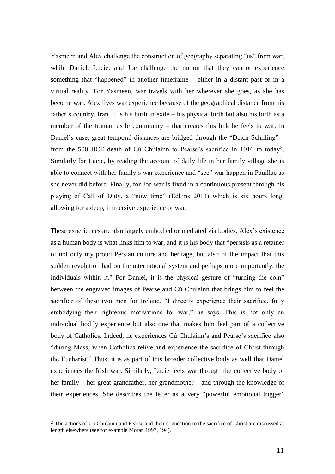Yasmeen and Alex challenge the construction of geography separating "us" from war, while Daniel, Lucie, and Joe challenge the notion that they cannot experience something that "happened" in another timeframe – either in a distant past or in a virtual reality. For Yasmeen, war travels with her wherever she goes, as she has become war. Alex lives war experience because of the geographical distance from his father's country, Iran. It is his birth in exile – his physical birth but also his birth as a member of the Iranian exile community – that creates this link he feels to war. In Daniel's case, great temporal distances are bridged through the "Deich Schilling" – from the 500 BCE death of Cú Chulainn to Pearse's sacrifice in 1916 to today<sup>2</sup>. Similarly for Lucie, by reading the account of daily life in her family village she is able to connect with her family's war experience and "see" war happen in Pauillac as she never did before. Finally, for Joe war is fixed in a continuous present through his playing of Call of Duty, a "now time" (Edkins 2013) which is six hours long, allowing for a deep, immersive experience of war.

These experiences are also largely embodied or mediated via bodies. Alex's existence as a human body is what links him to war, and it is his body that "persists as a retainer of not only my proud Persian culture and heritage, but also of the impact that this sudden revolution had on the international system and perhaps more importantly, the individuals within it." For Daniel, it is the physical gesture of "turning the coin" between the engraved images of Pearse and Cú Chulainn that brings him to feel the sacrifice of these two men for Ireland. "I directly experience their sacrifice, fully embodying their righteous motivations for war," he says. This is not only an individual bodily experience but also one that makes him feel part of a collective body of Catholics. Indeed, he experiences Cú Chulainn's and Pearse's sacrifice also "during Mass, when Catholics relive and experience the sacrifice of Christ through the Eucharist." Thus, it is as part of this broader collective body as well that Daniel experiences the Irish war. Similarly, Lucie feels war through the collective body of her family – her great-grandfather, her grandmother – and through the knowledge of their experiences. She describes the letter as a very "powerful emotional trigger"

 $\overline{a}$ 

<sup>2</sup> The actions of Cú Chulainn and Pearse and their connection to the sacrifice of Christ are discussed at length elsewhere (see for example Moran 1997, 194).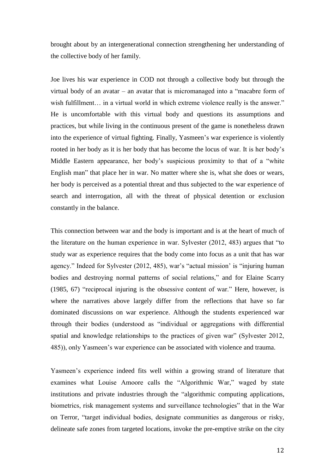brought about by an intergenerational connection strengthening her understanding of the collective body of her family.

Joe lives his war experience in COD not through a collective body but through the virtual body of an avatar – an avatar that is micromanaged into a "macabre form of wish fulfillment... in a virtual world in which extreme violence really is the answer." He is uncomfortable with this virtual body and questions its assumptions and practices, but while living in the continuous present of the game is nonetheless drawn into the experience of virtual fighting. Finally, Yasmeen's war experience is violently rooted in her body as it is her body that has become the locus of war. It is her body's Middle Eastern appearance, her body's suspicious proximity to that of a "white English man" that place her in war. No matter where she is, what she does or wears, her body is perceived as a potential threat and thus subjected to the war experience of search and interrogation, all with the threat of physical detention or exclusion constantly in the balance.

This connection between war and the body is important and is at the heart of much of the literature on the human experience in war. Sylvester (2012, 483) argues that "to study war as experience requires that the body come into focus as a unit that has war agency." Indeed for Sylvester (2012, 485), war's "actual mission' is "injuring human bodies and destroying normal patterns of social relations," and for Elaine Scarry (1985, 67) "reciprocal injuring is the obsessive content of war." Here, however, is where the narratives above largely differ from the reflections that have so far dominated discussions on war experience. Although the students experienced war through their bodies (understood as "individual or aggregations with differential spatial and knowledge relationships to the practices of given war" (Sylvester 2012, 485)), only Yasmeen's war experience can be associated with violence and trauma.

Yasmeen's experience indeed fits well within a growing strand of literature that examines what Louise Amoore calls the "Algorithmic War," waged by state institutions and private industries through the "algorithmic computing applications, biometrics, risk management systems and surveillance technologies" that in the War on Terror, "target individual bodies, designate communities as dangerous or risky, delineate safe zones from targeted locations, invoke the pre-emptive strike on the city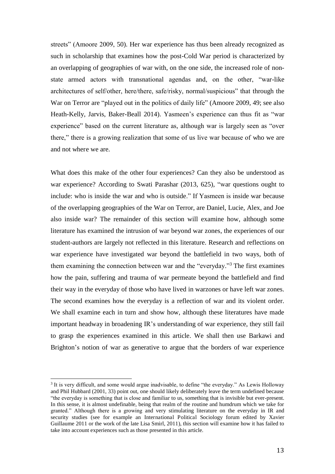streets" (Amoore 2009, 50). Her war experience has thus been already recognized as such in scholarship that examines how the post-Cold War period is characterized by an overlapping of geographies of war with, on the one side, the increased role of nonstate armed actors with transnational agendas and, on the other, "war-like architectures of self/other, here/there, safe/risky, normal/suspicious" that through the War on Terror are "played out in the politics of daily life" (Amoore 2009, 49; see also Heath-Kelly, Jarvis, Baker-Beall 2014). Yasmeen's experience can thus fit as "war experience" based on the current literature as, although war is largely seen as "over there," there is a growing realization that some of us live war because of who we are and not where we are.

What does this make of the other four experiences? Can they also be understood as war experience? According to Swati Parashar (2013, 625), "war questions ought to include: who is inside the war and who is outside." If Yasmeen is inside war because of the overlapping geographies of the War on Terror, are Daniel, Lucie, Alex, and Joe also inside war? The remainder of this section will examine how, although some literature has examined the intrusion of war beyond war zones, the experiences of our student-authors are largely not reflected in this literature. Research and reflections on war experience have investigated war beyond the battlefield in two ways, both of them examining the connection between war and the "everyday." 3 The first examines how the pain, suffering and trauma of war permeate beyond the battlefield and find their way in the everyday of those who have lived in warzones or have left war zones. The second examines how the everyday is a reflection of war and its violent order. We shall examine each in turn and show how, although these literatures have made important headway in broadening IR's understanding of war experience, they still fail to grasp the experiences examined in this article. We shall then use Barkawi and Brighton's notion of war as generative to argue that the borders of war experience

 $\overline{a}$ 

 $3$  It is very difficult, and some would argue inadvisable, to define "the everyday." As Lewis Holloway and Phil Hubbard (2001, 33) point out, one should likely deliberately leave the term undefined because "the everyday is something that is close and familiar to us, something that is invisible but ever-present. In this sense, it is almost undefinable, being that realm of the routine and humdrum which we take for granted." Although there is a growing and very stimulating literature on the everyday in IR and security studies (see for example an International Political Sociology forum edited by Xavier Guillaume 2011 or the work of the late Lisa Smirl, 2011), this section will examine how it has failed to take into account experiences such as those presented in this article.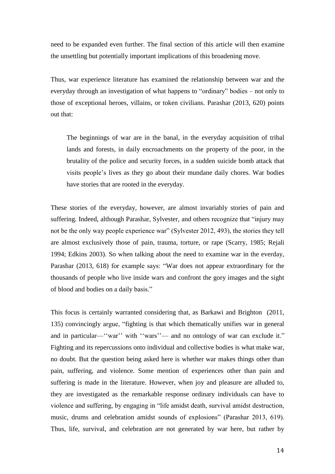need to be expanded even further. The final section of this article will then examine the unsettling but potentially important implications of this broadening move.

Thus, war experience literature has examined the relationship between war and the everyday through an investigation of what happens to "ordinary" bodies – not only to those of exceptional heroes, villains, or token civilians. Parashar (2013, 620) points out that:

The beginnings of war are in the banal, in the everyday acquisition of tribal lands and forests, in daily encroachments on the property of the poor, in the brutality of the police and security forces, in a sudden suicide bomb attack that visits people's lives as they go about their mundane daily chores. War bodies have stories that are rooted in the everyday.

These stories of the everyday, however, are almost invariably stories of pain and suffering. Indeed, although Parashar, Sylvester, and others recognize that "injury may not be the only way people experience war" (Sylvester 2012, 493), the stories they tell are almost exclusively those of pain, trauma, torture, or rape (Scarry, 1985; Rejali 1994; Edkins 2003). So when talking about the need to examine war in the everday, Parashar (2013, 618) for example says: "War does not appear extraordinary for the thousands of people who live inside wars and confront the gory images and the sight of blood and bodies on a daily basis."

This focus is certainly warranted considering that, as Barkawi and Brighton (2011, 135) convincingly argue, "fighting is that which thematically unifies war in general and in particular—''war'' with ''wars''— and no ontology of war can exclude it." Fighting and its repercussions onto individual and collective bodies is what make war, no doubt. But the question being asked here is whether war makes things other than pain, suffering, and violence. Some mention of experiences other than pain and suffering is made in the literature. However, when joy and pleasure are alluded to, they are investigated as the remarkable response ordinary individuals can have to violence and suffering, by engaging in "life amidst death, survival amidst destruction, music, drums and celebration amidst sounds of explosions" (Parashar 2013, 619). Thus, life, survival, and celebration are not generated by war here, but rather by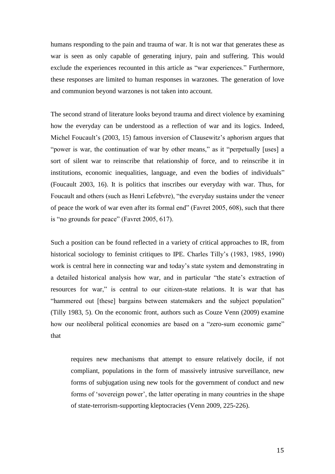humans responding to the pain and trauma of war. It is not war that generates these as war is seen as only capable of generating injury, pain and suffering. This would exclude the experiences recounted in this article as "war experiences." Furthermore, these responses are limited to human responses in warzones. The generation of love and communion beyond warzones is not taken into account.

The second strand of literature looks beyond trauma and direct violence by examining how the everyday can be understood as a reflection of war and its logics. Indeed, Michel Foucault's (2003, 15) famous inversion of Clausewitz's aphorism argues that "power is war, the continuation of war by other means," as it "perpetually [uses] a sort of silent war to reinscribe that relationship of force, and to reinscribe it in institutions, economic inequalities, language, and even the bodies of individuals" (Foucault 2003, 16). It is politics that inscribes our everyday with war. Thus, for Foucault and others (such as Henri Lefebvre), "the everyday sustains under the veneer of peace the work of war even after its formal end" (Favret 2005, 608), such that there is "no grounds for peace" (Favret 2005, 617).

Such a position can be found reflected in a variety of critical approaches to IR, from historical sociology to feminist critiques to IPE. Charles Tilly's (1983, 1985, 1990) work is central here in connecting war and today's state system and demonstrating in a detailed historical analysis how war, and in particular "the state's extraction of resources for war," is central to our citizen-state relations. It is war that has "hammered out [these] bargains between statemakers and the subject population" (Tilly 1983, 5). On the economic front, authors such as Couze Venn (2009) examine how our neoliberal political economies are based on a "zero-sum economic game" that

requires new mechanisms that attempt to ensure relatively docile, if not compliant, populations in the form of massively intrusive surveillance, new forms of subjugation using new tools for the government of conduct and new forms of 'sovereign power', the latter operating in many countries in the shape of state-terrorism-supporting kleptocracies (Venn 2009, 225-226).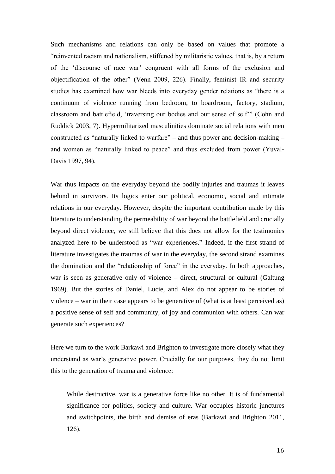Such mechanisms and relations can only be based on values that promote a "reinvented racism and nationalism, stiffened by militaristic values, that is, by a return of the 'discourse of race war' congruent with all forms of the exclusion and objectification of the other" (Venn 2009, 226). Finally, feminist IR and security studies has examined how war bleeds into everyday gender relations as "there is a continuum of violence running from bedroom, to boardroom, factory, stadium, classroom and battlefield, 'traversing our bodies and our sense of self'" (Cohn and Ruddick 2003, 7). Hypermilitarized masculinities dominate social relations with men constructed as "naturally linked to warfare" – and thus power and decision-making – and women as "naturally linked to peace" and thus excluded from power (Yuval-Davis 1997, 94).

War thus impacts on the everyday beyond the bodily injuries and traumas it leaves behind in survivors. Its logics enter our political, economic, social and intimate relations in our everyday. However, despite the important contribution made by this literature to understanding the permeability of war beyond the battlefield and crucially beyond direct violence, we still believe that this does not allow for the testimonies analyzed here to be understood as "war experiences." Indeed, if the first strand of literature investigates the traumas of war in the everyday, the second strand examines the domination and the "relationship of force" in the everyday. In both approaches, war is seen as generative only of violence – direct, structural or cultural (Galtung 1969). But the stories of Daniel, Lucie, and Alex do not appear to be stories of violence – war in their case appears to be generative of (what is at least perceived as) a positive sense of self and community, of joy and communion with others. Can war generate such experiences?

Here we turn to the work Barkawi and Brighton to investigate more closely what they understand as war's generative power. Crucially for our purposes, they do not limit this to the generation of trauma and violence:

While destructive, war is a generative force like no other. It is of fundamental significance for politics, society and culture. War occupies historic junctures and switchpoints, the birth and demise of eras (Barkawi and Brighton 2011, 126).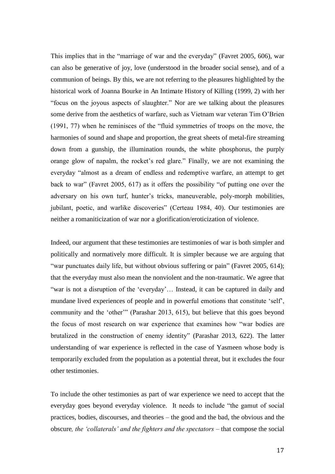This implies that in the "marriage of war and the everyday" (Favret 2005, 606), war can also be generative of joy, love (understood in the broader social sense), and of a communion of beings. By this, we are not referring to the pleasures highlighted by the historical work of Joanna Bourke in An Intimate History of Killing (1999, 2) with her "focus on the joyous aspects of slaughter." Nor are we talking about the pleasures some derive from the aesthetics of warfare, such as Vietnam war veteran Tim O'Brien (1991, 77) when he reminisces of the "fluid symmetries of troops on the move, the harmonies of sound and shape and proportion, the great sheets of metal-fire streaming down from a gunship, the illumination rounds, the white phosphorus, the purply orange glow of napalm, the rocket's red glare." Finally, we are not examining the everyday "almost as a dream of endless and redemptive warfare, an attempt to get back to war" (Favret 2005, 617) as it offers the possibility "of putting one over the adversary on his own turf, hunter's tricks, maneuverable, poly-morph mobilities, jubilant, poetic, and warlike discoveries" (Certeau 1984, 40). Our testimonies are neither a romaniticization of war nor a glorification/eroticization of violence.

Indeed, our argument that these testimonies are testimonies of war is both simpler and politically and normatively more difficult. It is simpler because we are arguing that "war punctuates daily life, but without obvious suffering or pain" (Favret 2005, 614); that the everyday must also mean the nonviolent and the non-traumatic. We agree that "war is not a disruption of the 'everyday'… Instead, it can be captured in daily and mundane lived experiences of people and in powerful emotions that constitute 'self', community and the 'other'" (Parashar 2013, 615), but believe that this goes beyond the focus of most research on war experience that examines how "war bodies are brutalized in the construction of enemy identity" (Parashar 2013, 622). The latter understanding of war experience is reflected in the case of Yasmeen whose body is temporarily excluded from the population as a potential threat, but it excludes the four other testimonies.

To include the other testimonies as part of war experience we need to accept that the everyday goes beyond everyday violence. It needs to include "the gamut of social practices, bodies, discourses, and theories – the good and the bad, the obvious and the obscure*, the 'collaterals' and the fighters and the spectators* – that compose the social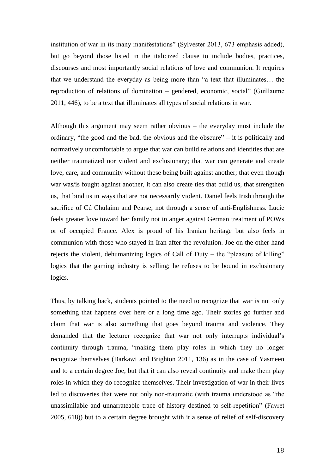institution of war in its many manifestations" (Sylvester 2013, 673 emphasis added), but go beyond those listed in the italicized clause to include bodies, practices, discourses and most importantly social relations of love and communion. It requires that we understand the everyday as being more than "a text that illuminates… the reproduction of relations of domination – gendered, economic, social" (Guillaume 2011, 446), to be a text that illuminates all types of social relations in war.

Although this argument may seem rather obvious – the everyday must include the ordinary, "the good and the bad, the obvious and the obscure" – it is politically and normatively uncomfortable to argue that war can build relations and identities that are neither traumatized nor violent and exclusionary; that war can generate and create love, care, and community without these being built against another; that even though war was/is fought against another, it can also create ties that build us, that strengthen us, that bind us in ways that are not necessarily violent. Daniel feels Irish through the sacrifice of Cú Chulainn and Pearse, not through a sense of anti-Englishness. Lucie feels greater love toward her family not in anger against German treatment of POWs or of occupied France. Alex is proud of his Iranian heritage but also feels in communion with those who stayed in Iran after the revolution. Joe on the other hand rejects the violent, dehumanizing logics of Call of Duty – the "pleasure of killing" logics that the gaming industry is selling; he refuses to be bound in exclusionary logics.

Thus, by talking back, students pointed to the need to recognize that war is not only something that happens over here or a long time ago. Their stories go further and claim that war is also something that goes beyond trauma and violence. They demanded that the lecturer recognize that war not only interrupts individual's continuity through trauma, "making them play roles in which they no longer recognize themselves (Barkawi and Brighton 2011, 136) as in the case of Yasmeen and to a certain degree Joe, but that it can also reveal continuity and make them play roles in which they do recognize themselves. Their investigation of war in their lives led to discoveries that were not only non-traumatic (with trauma understood as "the unassimilable and unnarrateable trace of history destined to self-repetition" (Favret 2005, 618)) but to a certain degree brought with it a sense of relief of self-discovery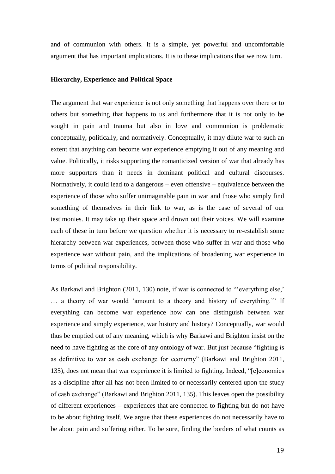and of communion with others. It is a simple, yet powerful and uncomfortable argument that has important implications. It is to these implications that we now turn.

#### **Hierarchy, Experience and Political Space**

The argument that war experience is not only something that happens over there or to others but something that happens to us and furthermore that it is not only to be sought in pain and trauma but also in love and communion is problematic conceptually, politically, and normatively. Conceptually, it may dilute war to such an extent that anything can become war experience emptying it out of any meaning and value. Politically, it risks supporting the romanticized version of war that already has more supporters than it needs in dominant political and cultural discourses. Normatively, it could lead to a dangerous – even offensive – equivalence between the experience of those who suffer unimaginable pain in war and those who simply find something of themselves in their link to war, as is the case of several of our testimonies. It may take up their space and drown out their voices. We will examine each of these in turn before we question whether it is necessary to re-establish some hierarchy between war experiences, between those who suffer in war and those who experience war without pain, and the implications of broadening war experience in terms of political responsibility.

As Barkawi and Brighton (2011, 130) note, if war is connected to "'everything else,' … a theory of war would 'amount to a theory and history of everything.'" If everything can become war experience how can one distinguish between war experience and simply experience, war history and history? Conceptually, war would thus be emptied out of any meaning, which is why Barkawi and Brighton insist on the need to have fighting as the core of any ontology of war. But just because "fighting is as definitive to war as cash exchange for economy" (Barkawi and Brighton 2011, 135), does not mean that war experience it is limited to fighting. Indeed, "[e]conomics as a discipline after all has not been limited to or necessarily centered upon the study of cash exchange" (Barkawi and Brighton 2011, 135). This leaves open the possibility of different experiences – experiences that are connected to fighting but do not have to be about fighting itself. We argue that these experiences do not necessarily have to be about pain and suffering either. To be sure, finding the borders of what counts as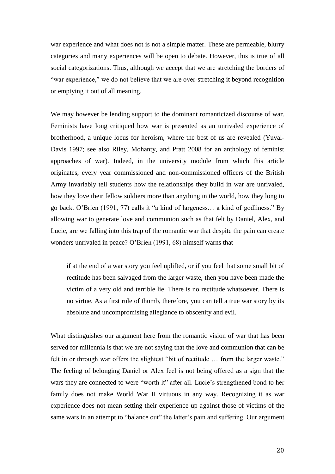war experience and what does not is not a simple matter. These are permeable, blurry categories and many experiences will be open to debate. However, this is true of all social categorizations. Thus, although we accept that we are stretching the borders of "war experience," we do not believe that we are over-stretching it beyond recognition or emptying it out of all meaning.

We may however be lending support to the dominant romanticized discourse of war. Feminists have long critiqued how war is presented as an unrivaled experience of brotherhood, a unique locus for heroism, where the best of us are revealed (Yuval-Davis 1997; see also Riley, Mohanty, and Pratt 2008 for an anthology of feminist approaches of war). Indeed, in the university module from which this article originates, every year commissioned and non-commissioned officers of the British Army invariably tell students how the relationships they build in war are unrivaled, how they love their fellow soldiers more than anything in the world, how they long to go back. O'Brien (1991, 77) calls it "a kind of largeness… a kind of godliness." By allowing war to generate love and communion such as that felt by Daniel, Alex, and Lucie, are we falling into this trap of the romantic war that despite the pain can create wonders unrivaled in peace? O'Brien (1991, 68) himself warns that

if at the end of a war story you feel uplifted, or if you feel that some small bit of rectitude has been salvaged from the larger waste, then you have been made the victim of a very old and terrible lie. There is no rectitude whatsoever. There is no virtue. As a first rule of thumb, therefore, you can tell a true war story by its absolute and uncompromising allegiance to obscenity and evil.

What distinguishes our argument here from the romantic vision of war that has been served for millennia is that we are not saying that the love and communion that can be felt in or through war offers the slightest "bit of rectitude … from the larger waste." The feeling of belonging Daniel or Alex feel is not being offered as a sign that the wars they are connected to were "worth it" after all. Lucie's strengthened bond to her family does not make World War II virtuous in any way. Recognizing it as war experience does not mean setting their experience up against those of victims of the same wars in an attempt to "balance out" the latter's pain and suffering. Our argument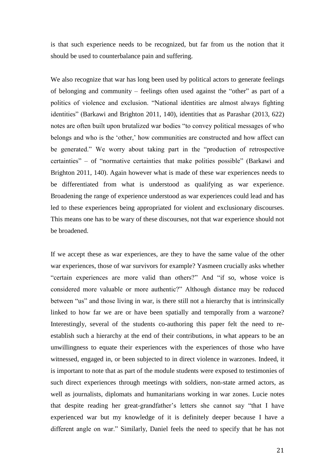is that such experience needs to be recognized, but far from us the notion that it should be used to counterbalance pain and suffering.

We also recognize that war has long been used by political actors to generate feelings of belonging and community – feelings often used against the "other" as part of a politics of violence and exclusion. "National identities are almost always fighting identities" (Barkawi and Brighton 2011, 140), identities that as Parashar (2013, 622) notes are often built upon brutalized war bodies "to convey political messages of who belongs and who is the 'other,' how communities are constructed and how affect can be generated." We worry about taking part in the "production of retrospective certainties" – of "normative certainties that make polities possible" (Barkawi and Brighton 2011, 140). Again however what is made of these war experiences needs to be differentiated from what is understood as qualifying as war experience. Broadening the range of experience understood as war experiences could lead and has led to these experiences being appropriated for violent and exclusionary discourses. This means one has to be wary of these discourses, not that war experience should not be broadened.

If we accept these as war experiences, are they to have the same value of the other war experiences, those of war survivors for example? Yasmeen crucially asks whether "certain experiences are more valid than others?" And "if so, whose voice is considered more valuable or more authentic?" Although distance may be reduced between "us" and those living in war, is there still not a hierarchy that is intrinsically linked to how far we are or have been spatially and temporally from a warzone? Interestingly, several of the students co-authoring this paper felt the need to reestablish such a hierarchy at the end of their contributions, in what appears to be an unwillingness to equate their experiences with the experiences of those who have witnessed, engaged in, or been subjected to in direct violence in warzones. Indeed, it is important to note that as part of the module students were exposed to testimonies of such direct experiences through meetings with soldiers, non-state armed actors, as well as journalists, diplomats and humanitarians working in war zones. Lucie notes that despite reading her great-grandfather's letters she cannot say "that I have experienced war but my knowledge of it is definitely deeper because I have a different angle on war." Similarly, Daniel feels the need to specify that he has not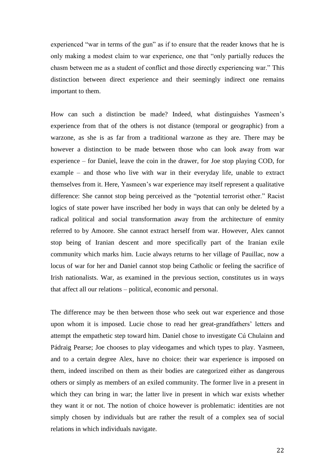experienced "war in terms of the gun" as if to ensure that the reader knows that he is only making a modest claim to war experience, one that "only partially reduces the chasm between me as a student of conflict and those directly experiencing war." This distinction between direct experience and their seemingly indirect one remains important to them.

How can such a distinction be made? Indeed, what distinguishes Yasmeen's experience from that of the others is not distance (temporal or geographic) from a warzone, as she is as far from a traditional warzone as they are. There may be however a distinction to be made between those who can look away from war experience – for Daniel, leave the coin in the drawer, for Joe stop playing COD, for example – and those who live with war in their everyday life, unable to extract themselves from it. Here, Yasmeen's war experience may itself represent a qualitative difference: She cannot stop being perceived as the "potential terrorist other." Racist logics of state power have inscribed her body in ways that can only be deleted by a radical political and social transformation away from the architecture of enmity referred to by Amoore. She cannot extract herself from war. However, Alex cannot stop being of Iranian descent and more specifically part of the Iranian exile community which marks him. Lucie always returns to her village of Pauillac, now a locus of war for her and Daniel cannot stop being Catholic or feeling the sacrifice of Irish nationalists. War, as examined in the previous section, constitutes us in ways that affect all our relations – political, economic and personal.

The difference may be then between those who seek out war experience and those upon whom it is imposed. Lucie chose to read her great-grandfathers' letters and attempt the empathetic step toward him. Daniel chose to investigate Cú Chulainn and Pádraig Pearse; Joe chooses to play videogames and which types to play. Yasmeen, and to a certain degree Alex, have no choice: their war experience is imposed on them, indeed inscribed on them as their bodies are categorized either as dangerous others or simply as members of an exiled community. The former live in a present in which they can bring in war; the latter live in present in which war exists whether they want it or not. The notion of choice however is problematic: identities are not simply chosen by individuals but are rather the result of a complex sea of social relations in which individuals navigate.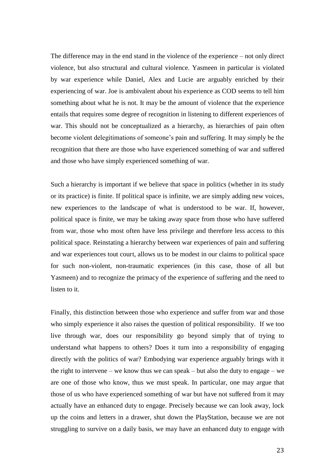The difference may in the end stand in the violence of the experience – not only direct violence, but also structural and cultural violence. Yasmeen in particular is violated by war experience while Daniel, Alex and Lucie are arguably enriched by their experiencing of war. Joe is ambivalent about his experience as COD seems to tell him something about what he is not. It may be the amount of violence that the experience entails that requires some degree of recognition in listening to different experiences of war. This should not be conceptualized as a hierarchy, as hierarchies of pain often become violent delegitimations of someone's pain and suffering. It may simply be the recognition that there are those who have experienced something of war and suffered and those who have simply experienced something of war.

Such a hierarchy is important if we believe that space in politics (whether in its study or its practice) is finite. If political space is infinite, we are simply adding new voices, new experiences to the landscape of what is understood to be war. If, however, political space is finite, we may be taking away space from those who have suffered from war, those who most often have less privilege and therefore less access to this political space. Reinstating a hierarchy between war experiences of pain and suffering and war experiences tout court, allows us to be modest in our claims to political space for such non-violent, non-traumatic experiences (in this case, those of all but Yasmeen) and to recognize the primacy of the experience of suffering and the need to listen to it.

Finally, this distinction between those who experience and suffer from war and those who simply experience it also raises the question of political responsibility. If we too live through war, does our responsibility go beyond simply that of trying to understand what happens to others? Does it turn into a responsibility of engaging directly with the politics of war? Embodying war experience arguably brings with it the right to intervene – we know thus we can speak – but also the duty to engage – we are one of those who know, thus we must speak. In particular, one may argue that those of us who have experienced something of war but have not suffered from it may actually have an enhanced duty to engage. Precisely because we can look away, lock up the coins and letters in a drawer, shut down the PlayStation, because we are not struggling to survive on a daily basis, we may have an enhanced duty to engage with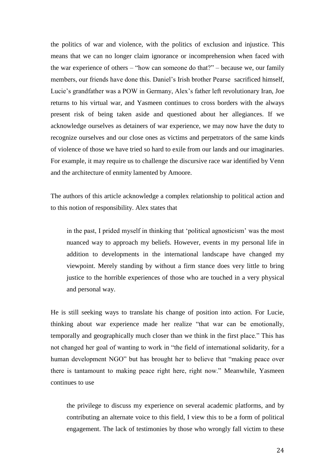the politics of war and violence, with the politics of exclusion and injustice. This means that we can no longer claim ignorance or incomprehension when faced with the war experience of others – "how can someone do that?" – because we, our family members, our friends have done this. Daniel's Irish brother Pearse sacrificed himself, Lucie's grandfather was a POW in Germany, Alex's father left revolutionary Iran, Joe returns to his virtual war, and Yasmeen continues to cross borders with the always present risk of being taken aside and questioned about her allegiances. If we acknowledge ourselves as detainers of war experience, we may now have the duty to recognize ourselves and our close ones as victims and perpetrators of the same kinds of violence of those we have tried so hard to exile from our lands and our imaginaries. For example, it may require us to challenge the discursive race war identified by Venn and the architecture of enmity lamented by Amoore.

The authors of this article acknowledge a complex relationship to political action and to this notion of responsibility. Alex states that

in the past, I prided myself in thinking that 'political agnosticism' was the most nuanced way to approach my beliefs. However, events in my personal life in addition to developments in the international landscape have changed my viewpoint. Merely standing by without a firm stance does very little to bring justice to the horrible experiences of those who are touched in a very physical and personal way.

He is still seeking ways to translate his change of position into action. For Lucie, thinking about war experience made her realize "that war can be emotionally, temporally and geographically much closer than we think in the first place." This has not changed her goal of wanting to work in "the field of international solidarity, for a human development NGO" but has brought her to believe that "making peace over there is tantamount to making peace right here, right now." Meanwhile, Yasmeen continues to use

the privilege to discuss my experience on several academic platforms, and by contributing an alternate voice to this field, I view this to be a form of political engagement. The lack of testimonies by those who wrongly fall victim to these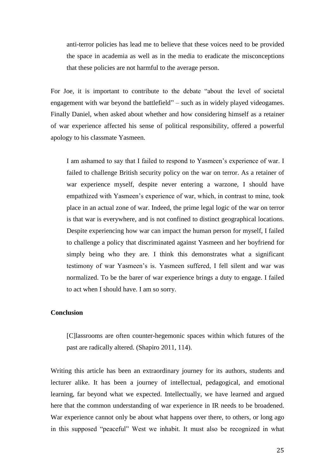anti-terror policies has lead me to believe that these voices need to be provided the space in academia as well as in the media to eradicate the misconceptions that these policies are not harmful to the average person.

For Joe, it is important to contribute to the debate "about the level of societal engagement with war beyond the battlefield" – such as in widely played videogames. Finally Daniel, when asked about whether and how considering himself as a retainer of war experience affected his sense of political responsibility, offered a powerful apology to his classmate Yasmeen.

I am ashamed to say that I failed to respond to Yasmeen's experience of war. I failed to challenge British security policy on the war on terror. As a retainer of war experience myself, despite never entering a warzone, I should have empathized with Yasmeen's experience of war, which, in contrast to mine, took place in an actual zone of war. Indeed, the prime legal logic of the war on terror is that war is everywhere, and is not confined to distinct geographical locations. Despite experiencing how war can impact the human person for myself, I failed to challenge a policy that discriminated against Yasmeen and her boyfriend for simply being who they are. I think this demonstrates what a significant testimony of war Yasmeen's is. Yasmeen suffered, I fell silent and war was normalized. To be the barer of war experience brings a duty to engage. I failed to act when I should have. I am so sorry.

#### **Conclusion**

[C]lassrooms are often counter-hegemonic spaces within which futures of the past are radically altered. (Shapiro 2011, 114).

Writing this article has been an extraordinary journey for its authors, students and lecturer alike. It has been a journey of intellectual, pedagogical, and emotional learning, far beyond what we expected. Intellectually, we have learned and argued here that the common understanding of war experience in IR needs to be broadened. War experience cannot only be about what happens over there, to others, or long ago in this supposed "peaceful" West we inhabit. It must also be recognized in what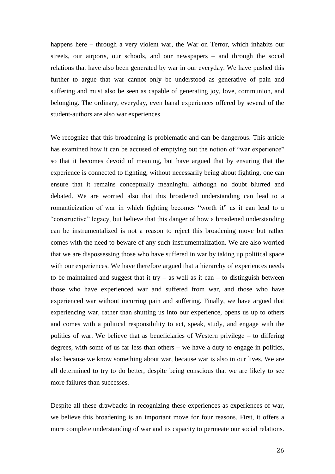happens here – through a very violent war, the War on Terror, which inhabits our streets, our airports, our schools, and our newspapers – and through the social relations that have also been generated by war in our everyday. We have pushed this further to argue that war cannot only be understood as generative of pain and suffering and must also be seen as capable of generating joy, love, communion, and belonging. The ordinary, everyday, even banal experiences offered by several of the student-authors are also war experiences.

We recognize that this broadening is problematic and can be dangerous. This article has examined how it can be accused of emptying out the notion of "war experience" so that it becomes devoid of meaning, but have argued that by ensuring that the experience is connected to fighting, without necessarily being about fighting, one can ensure that it remains conceptually meaningful although no doubt blurred and debated. We are worried also that this broadened understanding can lead to a romanticization of war in which fighting becomes "worth it" as it can lead to a "constructive" legacy, but believe that this danger of how a broadened understanding can be instrumentalized is not a reason to reject this broadening move but rather comes with the need to beware of any such instrumentalization. We are also worried that we are dispossessing those who have suffered in war by taking up political space with our experiences. We have therefore argued that a hierarchy of experiences needs to be maintained and suggest that it try – as well as it can – to distinguish between those who have experienced war and suffered from war, and those who have experienced war without incurring pain and suffering. Finally, we have argued that experiencing war, rather than shutting us into our experience, opens us up to others and comes with a political responsibility to act, speak, study, and engage with the politics of war. We believe that as beneficiaries of Western privilege – to differing degrees, with some of us far less than others – we have a duty to engage in politics, also because we know something about war, because war is also in our lives. We are all determined to try to do better, despite being conscious that we are likely to see more failures than successes.

Despite all these drawbacks in recognizing these experiences as experiences of war, we believe this broadening is an important move for four reasons. First, it offers a more complete understanding of war and its capacity to permeate our social relations.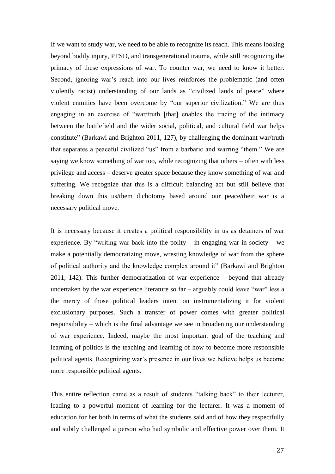If we want to study war, we need to be able to recognize its reach. This means looking beyond bodily injury, PTSD, and transgenerational trauma, while still recognizing the primacy of these expressions of war. To counter war, we need to know it better. Second, ignoring war's reach into our lives reinforces the problematic (and often violently racist) understanding of our lands as "civilized lands of peace" where violent enmities have been overcome by "our superior civilization." We are thus engaging in an exercise of "war/truth [that] enables the tracing of the intimacy between the battlefield and the wider social, political, and cultural field war helps constitute" (Barkawi and Brighton 2011, 127), by challenging the dominant war/truth that separates a peaceful civilized "us" from a barbaric and warring "them." We are saying we know something of war too, while recognizing that others – often with less privilege and access – deserve greater space because they know something of war and suffering. We recognize that this is a difficult balancing act but still believe that breaking down this us/them dichotomy based around our peace/their war is a necessary political move.

It is necessary because it creates a political responsibility in us as detainers of war experience. By "writing war back into the polity – in engaging war in society – we make a potentially democratizing move, wresting knowledge of war from the sphere of political authority and the knowledge complex around it" (Barkawi and Brighton 2011, 142). This further democratization of war experience – beyond that already undertaken by the war experience literature so  $far - arguably could leave "war" less a$ the mercy of those political leaders intent on instrumentalizing it for violent exclusionary purposes. Such a transfer of power comes with greater political responsibility – which is the final advantage we see in broadening our understanding of war experience. Indeed, maybe the most important goal of the teaching and learning of politics is the teaching and learning of how to become more responsible political agents. Recognizing war's presence in our lives we believe helps us become more responsible political agents.

This entire reflection came as a result of students "talking back" to their lecturer, leading to a powerful moment of learning for the lecturer. It was a moment of education for her both in terms of what the students said and of how they respectfully and subtly challenged a person who had symbolic and effective power over them. It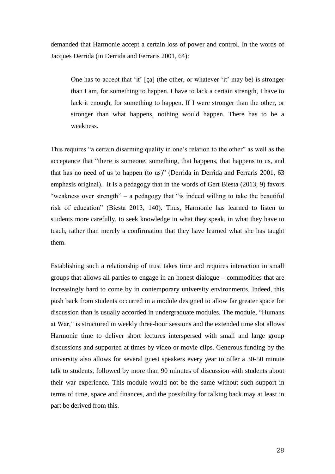demanded that Harmonie accept a certain loss of power and control. In the words of Jacques Derrida (in Derrida and Ferraris 2001, 64):

One has to accept that 'it' [ça] (the other, or whatever 'it' may be) is stronger than I am, for something to happen. I have to lack a certain strength, I have to lack it enough, for something to happen. If I were stronger than the other, or stronger than what happens, nothing would happen. There has to be a weakness.

This requires "a certain disarming quality in one's relation to the other" as well as the acceptance that "there is someone, something, that happens, that happens to us, and that has no need of us to happen (to us)" (Derrida in Derrida and Ferraris 2001, 63 emphasis original). It is a pedagogy that in the words of Gert Biesta (2013, 9) favors "weakness over strength" – a pedagogy that "is indeed willing to take the beautiful risk of education" (Biesta 2013, 140). Thus, Harmonie has learned to listen to students more carefully, to seek knowledge in what they speak, in what they have to teach, rather than merely a confirmation that they have learned what she has taught them.

Establishing such a relationship of trust takes time and requires interaction in small groups that allows all parties to engage in an honest dialogue – commodities that are increasingly hard to come by in contemporary university environments. Indeed, this push back from students occurred in a module designed to allow far greater space for discussion than is usually accorded in undergraduate modules. The module, "Humans at War," is structured in weekly three-hour sessions and the extended time slot allows Harmonie time to deliver short lectures interspersed with small and large group discussions and supported at times by video or movie clips. Generous funding by the university also allows for several guest speakers every year to offer a 30-50 minute talk to students, followed by more than 90 minutes of discussion with students about their war experience. This module would not be the same without such support in terms of time, space and finances, and the possibility for talking back may at least in part be derived from this.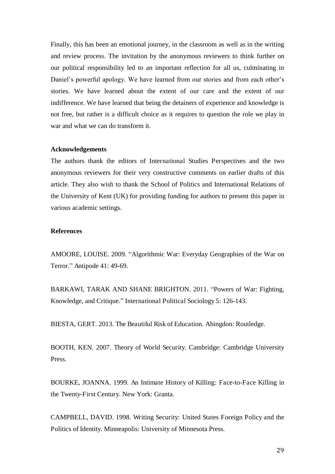Finally, this has been an emotional journey, in the classroom as well as in the writing and review process. The invitation by the anonymous reviewers to think further on our political responsibility led to an important reflection for all us, culminating in Daniel's powerful apology. We have learned from our stories and from each other's stories. We have learned about the extent of our care and the extent of our indifference. We have learned that being the detainers of experience and knowledge is not free, but rather is a difficult choice as it requires to question the role we play in war and what we can do transform it.

#### **Acknowledgements**

The authors thank the editors of International Studies Perspectives and the two anonymous reviewers for their very constructive comments on earlier drafts of this article. They also wish to thank the School of Politics and International Relations of the University of Kent (UK) for providing funding for authors to present this paper in various academic settings.

#### **References**

AMOORE, LOUISE. 2009. "Algorithmic War: Everyday Geographies of the War on Terror." Antipode 41: 49-69.

BARKAWI, TARAK AND SHANE BRIGHTON. 2011. "Powers of War: Fighting, Knowledge, and Critique." International Political Sociology 5: 126-143.

BIESTA, GERT. 2013. The Beautiful Risk of Education. Abingdon: Routledge.

BOOTH, KEN. 2007. Theory of World Security. Cambridge: Cambridge University Press.

BOURKE, JOANNA. 1999. An Intimate History of Killing: Face-to-Face Killing in the Twenty-First Century. New York: Granta.

CAMPBELL, DAVID. 1998. Writing Security: United States Foreign Policy and the Politics of Identity. Minneapolis: University of Minnesota Press.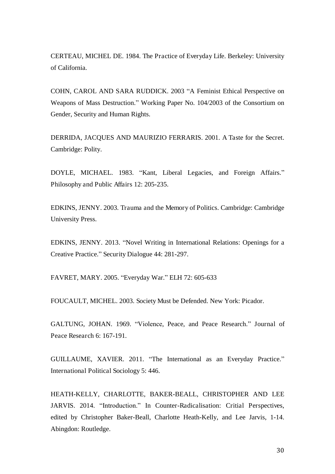CERTEAU, MICHEL DE. 1984. The Practice of Everyday Life. Berkeley: University of California.

COHN, CAROL AND SARA RUDDICK. 2003 "A Feminist Ethical Perspective on Weapons of Mass Destruction." Working Paper No. 104/2003 of the Consortium on Gender, Security and Human Rights.

DERRIDA, JACQUES AND MAURIZIO FERRARIS. 2001. A Taste for the Secret. Cambridge: Polity.

DOYLE, MICHAEL. 1983. "Kant, Liberal Legacies, and Foreign Affairs." Philosophy and Public Affairs 12: 205-235.

EDKINS, JENNY. 2003. Trauma and the Memory of Politics. Cambridge: Cambridge University Press.

EDKINS, JENNY. 2013. "Novel Writing in International Relations: Openings for a Creative Practice." Security Dialogue 44: 281-297.

FAVRET, MARY. 2005. "Everyday War." ELH 72: 605-633

FOUCAULT, MICHEL. 2003. Society Must be Defended. New York: Picador.

GALTUNG, JOHAN. 1969. "Violence, Peace, and Peace Research." Journal of Peace Research 6: 167-191.

GUILLAUME, XAVIER. 2011. "The International as an Everyday Practice." International Political Sociology 5: 446.

HEATH-KELLY, CHARLOTTE, BAKER-BEALL, CHRISTOPHER AND LEE JARVIS. 2014. "Introduction." In Counter-Radicalisation: Critial Perspectives, edited by Christopher Baker-Beall, Charlotte Heath-Kelly, and Lee Jarvis, 1-14. Abingdon: Routledge.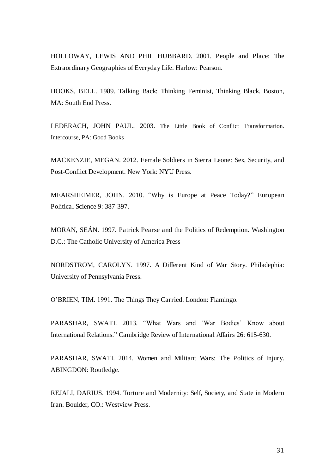HOLLOWAY, LEWIS AND PHIL HUBBARD. 2001. People and Place: The Extraordinary Geographies of Everyday Life. Harlow: Pearson.

HOOKS, BELL. 1989. Talking Back: Thinking Feminist, Thinking Black. Boston, MA: South End Press.

LEDERACH, JOHN PAUL. 2003. The Little Book of Conflict Transformation. Intercourse, PA: Good Books

MACKENZIE, MEGAN. 2012. Female Soldiers in Sierra Leone: Sex, Security, and Post-Conflict Development. New York: NYU Press.

MEARSHEIMER, JOHN. 2010. "Why is Europe at Peace Today?" European Political Science 9: 387-397.

MORAN, SEÁN. 1997. Patrick Pearse and the Politics of Redemption. Washington D.C.: The Catholic University of America Press

NORDSTROM, CAROLYN. 1997. A Different Kind of War Story. Philadephia: University of Pennsylvania Press.

O'BRIEN, TIM. 1991. The Things They Carried. London: Flamingo.

PARASHAR, SWATI. 2013. "What Wars and 'War Bodies' Know about International Relations." Cambridge Review of International Affairs 26: 615-630.

PARASHAR, SWATI. 2014. Women and Militant Wars: The Politics of Injury. ABINGDON: Routledge.

REJALI, DARIUS. 1994. Torture and Modernity: Self, Society, and State in Modern Iran. Boulder, CO.: Westview Press.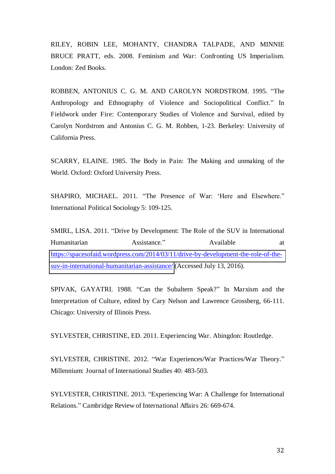RILEY, ROBIN LEE, MOHANTY, CHANDRA TALPADE, AND MINNIE BRUCE PRATT, eds. 2008. Feminism and War: Confronting US Imperialism. London: Zed Books.

ROBBEN, ANTONIUS C. G. M. AND CAROLYN NORDSTROM. 1995. "The Anthropology and Ethnography of Violence and Sociopolitical Conflict." In Fieldwork under Fire: Contemporary Studies of Violence and Survival, edited by Carolyn Nordstrom and Antonius C. G. M. Robben, 1-23. Berkeley: University of California Press.

SCARRY, ELAINE. 1985. The Body in Pain: The Making and unmaking of the World. Oxford: Oxford University Press.

SHAPIRO, MICHAEL. 2011. "The Presence of War: 'Here and Elsewhere." International Political Sociology 5: 109-125.

SMIRL, LISA. 2011. "Drive by Development: The Role of the SUV in International Humanitarian Assistance." Available at [https://spacesofaid.wordpress.com/2014/03/11/drive-by-development-the-role-of-the](https://spacesofaid.wordpress.com/2014/03/11/drive-by-development-the-role-of-the-suv-in-international-humanitarian-assistance/)[suv-in-international-humanitarian-assistance/](https://spacesofaid.wordpress.com/2014/03/11/drive-by-development-the-role-of-the-suv-in-international-humanitarian-assistance/) (Accessed July 13, 2016).

SPIVAK, GAYATRI. 1988. "Can the Subaltern Speak?" In Marxism and the Interpretation of Culture, edited by Cary Nelson and Lawrence Grossberg, 66-111. Chicago: University of Illinois Press.

SYLVESTER, CHRISTINE, ED. 2011. Experiencing War. Abingdon: Routledge.

SYLVESTER, CHRISTINE. 2012. "War Experiences/War Practices/War Theory." Millennium: Journal of International Studies 40: 483-503.

SYLVESTER, CHRISTINE. 2013. "Experiencing War: A Challenge for International Relations." Cambridge Review of International Affairs 26: 669-674.